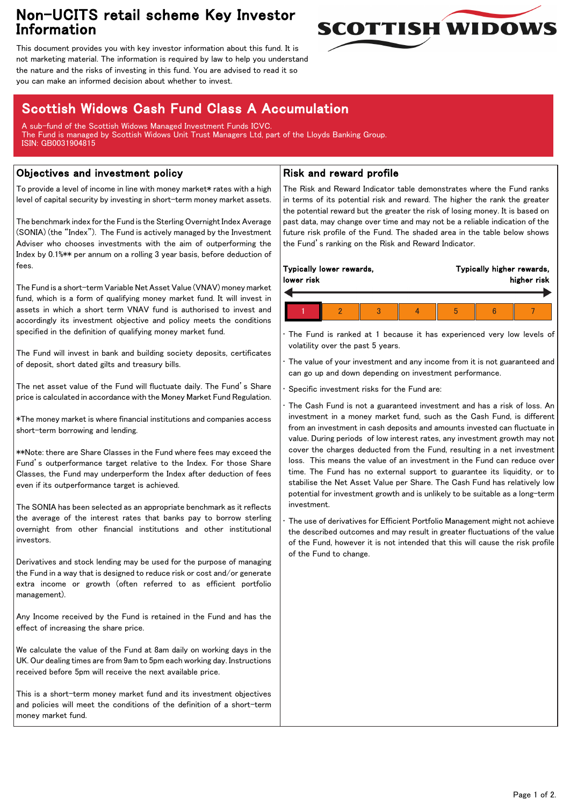## Non-UCITS retail scheme Key Investor Information



This document provides you with key investor information about this fund. It is not marketing material. The information is required by law to help you understand the nature and the risks of investing in this fund. You are advised to read it so you can make an informed decision about whether to invest.

# Scottish Widows Cash Fund Class A Accumulation

A sub-fund of the Scottish Widows Managed Investment Funds ICVC. The Fund is managed by Scottish Widows Unit Trust Managers Ltd, part of the Lloyds Banking Group. ISIN: GB0031904815

## Objectives and investment policy

To provide a level of income in line with money market\* rates with a high level of capital security by investing in short-term money market assets.

The benchmark index for the Fund is the Sterling Overnight Index Average (SONIA) (the "Index"). The Fund is actively managed by the Investment Adviser who chooses investments with the aim of outperforming the Index by 0.1%\*\* per annum on a rolling 3 year basis, before deduction of fees.

The Fund is a short-term Variable Net Asset Value (VNAV) money market fund, which is a form of qualifying money market fund. It will invest in assets in which a short term VNAV fund is authorised to invest and accordingly its investment objective and policy meets the conditions specified in the definition of qualifying money market fund.

The Fund will invest in bank and building society deposits, certificates of deposit, short dated gilts and treasury bills.

The net asset value of the Fund will fluctuate daily. The Fund's Share price is calculated in accordance with the Money Market Fund Regulation.

\*The money market is where financial institutions and companies access short-term borrowing and lending.

\*\*Note: there are Share Classes in the Fund where fees may exceed the Fund's outperformance target relative to the Index. For those Share Classes, the Fund may underperform the Index after deduction of fees even if its outperformance target is achieved.

The SONIA has been selected as an appropriate benchmark as it reflects the average of the interest rates that banks pay to borrow sterling overnight from other financial institutions and other institutional investors.

Derivatives and stock lending may be used for the purpose of managing the Fund in a way that is designed to reduce risk or cost and/or generate extra income or growth (often referred to as efficient portfolio management).

Any Income received by the Fund is retained in the Fund and has the effect of increasing the share price.

We calculate the value of the Fund at 8am daily on working days in the UK. Our dealing times are from 9am to 5pm each working day. Instructions received before 5pm will receive the next available price.

This is a short-term money market fund and its investment objectives and policies will meet the conditions of the definition of a short-term money market fund.

### Risk and reward profile

The Risk and Reward Indicator table demonstrates where the Fund ranks in terms of its potential risk and reward. The higher the rank the greater the potential reward but the greater the risk of losing money. It is based on past data, may change over time and may not be a reliable indication of the future risk profile of the Fund. The shaded area in the table below shows the Fund's ranking on the Risk and Reward Indicator.

| Typically lower rewards,<br>lower risk |  |  | Typically higher rewards,<br>higher risk |  |  |
|----------------------------------------|--|--|------------------------------------------|--|--|
|                                        |  |  |                                          |  |  |

• The Fund is ranked at 1 because it has experienced very low levels of volatility over the past 5 years.

The value of your investment and any income from it is not guaranteed and can go up and down depending on investment performance.

Specific investment risks for the Fund are:

• The Cash Fund is not a guaranteed investment and has a risk of loss. An investment in a money market fund, such as the Cash Fund, is different from an investment in cash deposits and amounts invested can fluctuate in value. During periods of low interest rates, any investment growth may not cover the charges deducted from the Fund, resulting in a net investment loss. This means the value of an investment in the Fund can reduce over time. The Fund has no external support to guarantee its liquidity, or to stabilise the Net Asset Value per Share. The Cash Fund has relatively low potential for investment growth and is unlikely to be suitable as a long-term investment.

The use of derivatives for Efficient Portfolio Management might not achieve the described outcomes and may result in greater fluctuations of the value of the Fund, however it is not intended that this will cause the risk profile of the Fund to change.